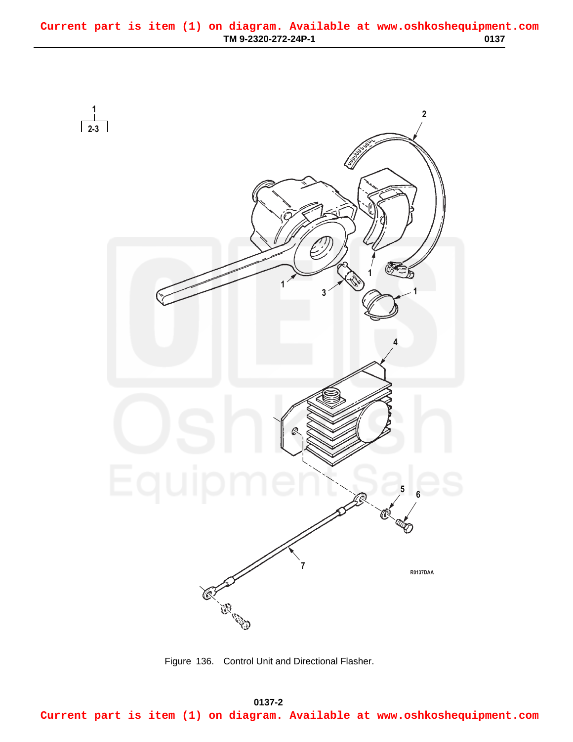<span id="page-0-0"></span>

Figure 136. Control Unit and Directional Flasher.

**0137-2 03/15/2011 Rel(1.8) root(plwp) wpno(R00137) Current part is item (1) on diagram. Available at www.oshkoshequipment.com**